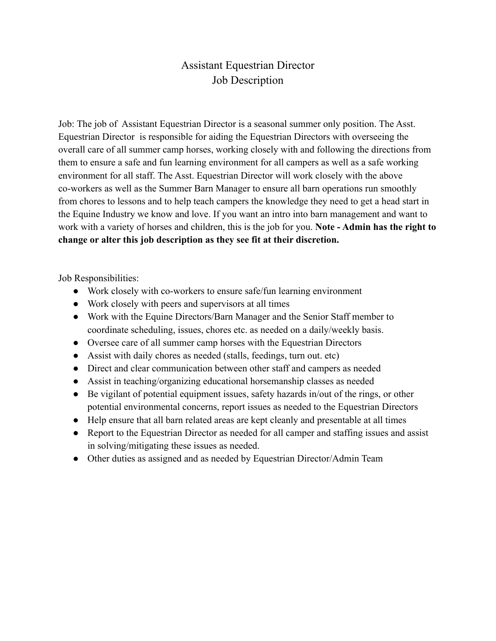## Assistant Equestrian Director Job Description

Job: The job of Assistant Equestrian Director is a seasonal summer only position. The Asst. Equestrian Director is responsible for aiding the Equestrian Directors with overseeing the overall care of all summer camp horses, working closely with and following the directions from them to ensure a safe and fun learning environment for all campers as well as a safe working environment for all staff. The Asst. Equestrian Director will work closely with the above co-workers as well as the Summer Barn Manager to ensure all barn operations run smoothly from chores to lessons and to help teach campers the knowledge they need to get a head start in the Equine Industry we know and love. If you want an intro into barn management and want to work with a variety of horses and children, this is the job for you. **Note - Admin has the right to change or alter this job description as they see fit at their discretion.**

Job Responsibilities:

- Work closely with co-workers to ensure safe/fun learning environment
- Work closely with peers and supervisors at all times
- Work with the Equine Directors/Barn Manager and the Senior Staff member to coordinate scheduling, issues, chores etc. as needed on a daily/weekly basis.
- Oversee care of all summer camp horses with the Equestrian Directors
- Assist with daily chores as needed (stalls, feedings, turn out. etc)
- Direct and clear communication between other staff and campers as needed
- Assist in teaching/organizing educational horsemanship classes as needed
- Be vigilant of potential equipment issues, safety hazards in/out of the rings, or other potential environmental concerns, report issues as needed to the Equestrian Directors
- Help ensure that all barn related areas are kept cleanly and presentable at all times
- Report to the Equestrian Director as needed for all camper and staffing issues and assist in solving/mitigating these issues as needed.
- Other duties as assigned and as needed by Equestrian Director/Admin Team